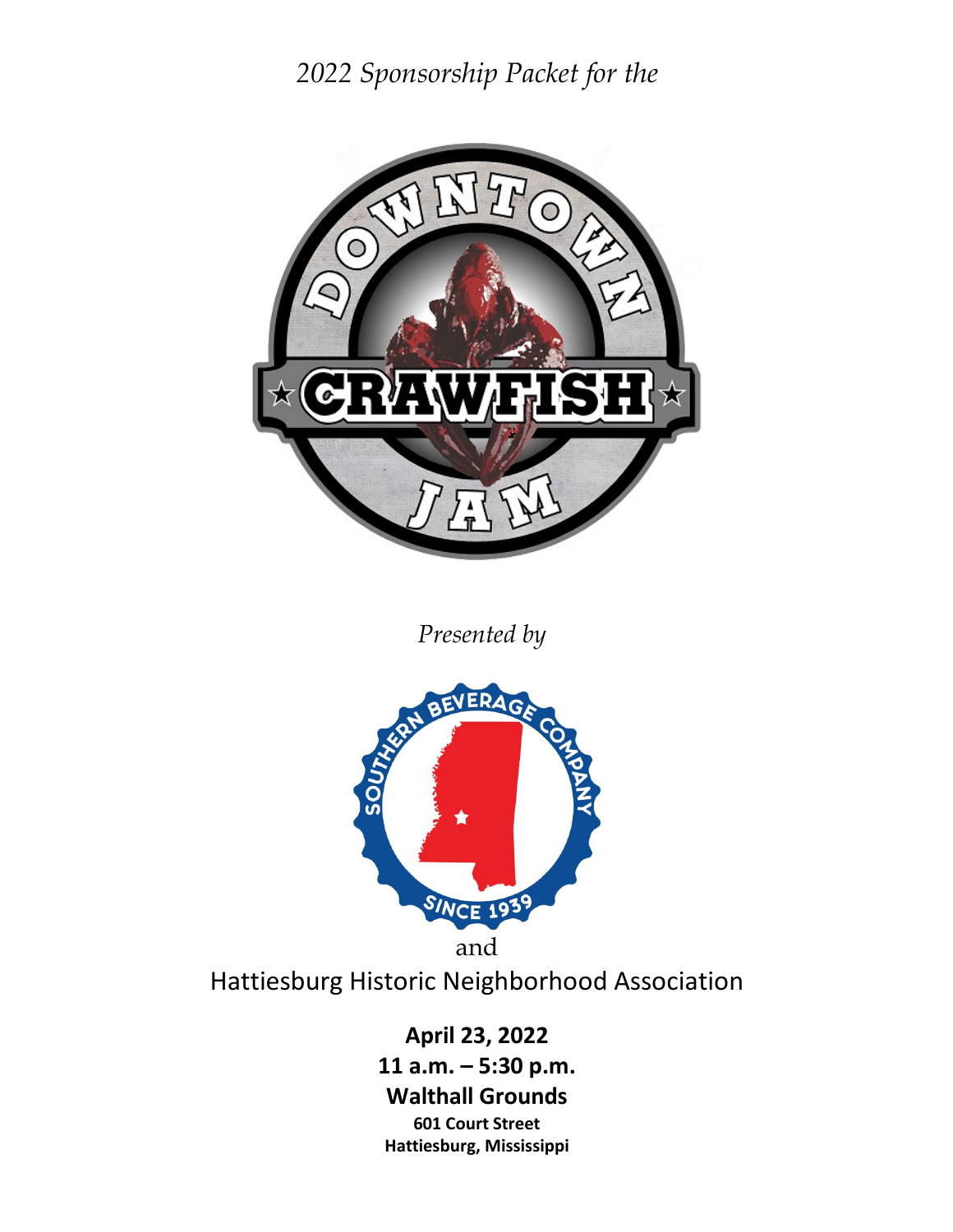*2022 Sponsorship Packet for the*



*Presented by*



Hattiesburg Historic Neighborhood Association

**April 23, 2022 11 a.m. – 5:30 p.m. Walthall Grounds 601 Court Street Hattiesburg, Mississippi**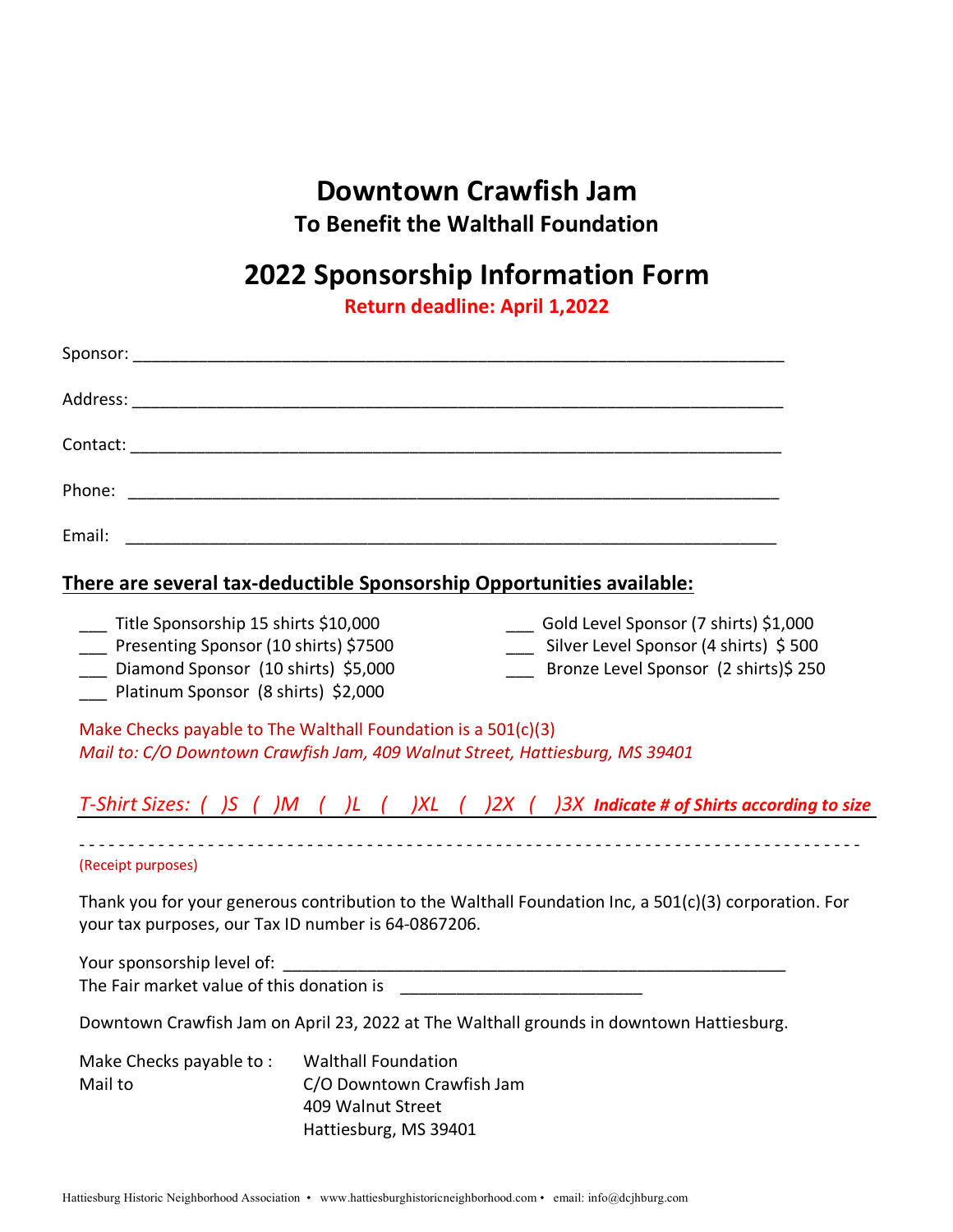# **Downtown Crawfish Jam To Benefit the Walthall Foundation**

# **2022 Sponsorship Information Form**

**Return deadline: April 1,2022**

| There are several tax-deductible Sponsorship Opportunities available:                                                                                                                                                                                                                                  |  |
|--------------------------------------------------------------------------------------------------------------------------------------------------------------------------------------------------------------------------------------------------------------------------------------------------------|--|
| ___ Title Sponsorship 15 shirts \$10,000<br>Gold Level Sponsor (7 shirts) \$1,000<br>___ Presenting Sponsor (10 shirts) \$7500<br>___ Silver Level Sponsor (4 shirts) \$500<br>___ Diamond Sponsor (10 shirts) \$5,000<br>Bronze Level Sponsor (2 shirts)\$ 250<br>Platinum Sponsor (8 shirts) \$2,000 |  |
| Make Checks payable to The Walthall Foundation is a 501(c)(3)<br>Mail to: C/O Downtown Crawfish Jam, 409 Walnut Street, Hattiesburg, MS 39401                                                                                                                                                          |  |
| T-Shirt Sizes: ( )S ( )M ( )L ( )XL ( )2X ( )3X Indicate # of Shirts according to size                                                                                                                                                                                                                 |  |
| (Receipt purposes)                                                                                                                                                                                                                                                                                     |  |
| Thank you for your generous contribution to the Walthall Foundation Inc, a 501(c)(3) corporation. For<br>your tax purposes, our Tax ID number is 64-0867206.                                                                                                                                           |  |
| Your sponsorship level of:<br>The Fair market value of this donation is                                                                                                                                                                                                                                |  |

Downtown Crawfish Jam on April 23, 2022 at The Walthall grounds in downtown Hattiesburg.

| Make Checks payable to: | <b>Walthall Foundation</b> |
|-------------------------|----------------------------|
| Mail to                 | C/O Downtown Crawfish Jam  |
|                         | 409 Walnut Street          |
|                         | Hattiesburg, MS 39401      |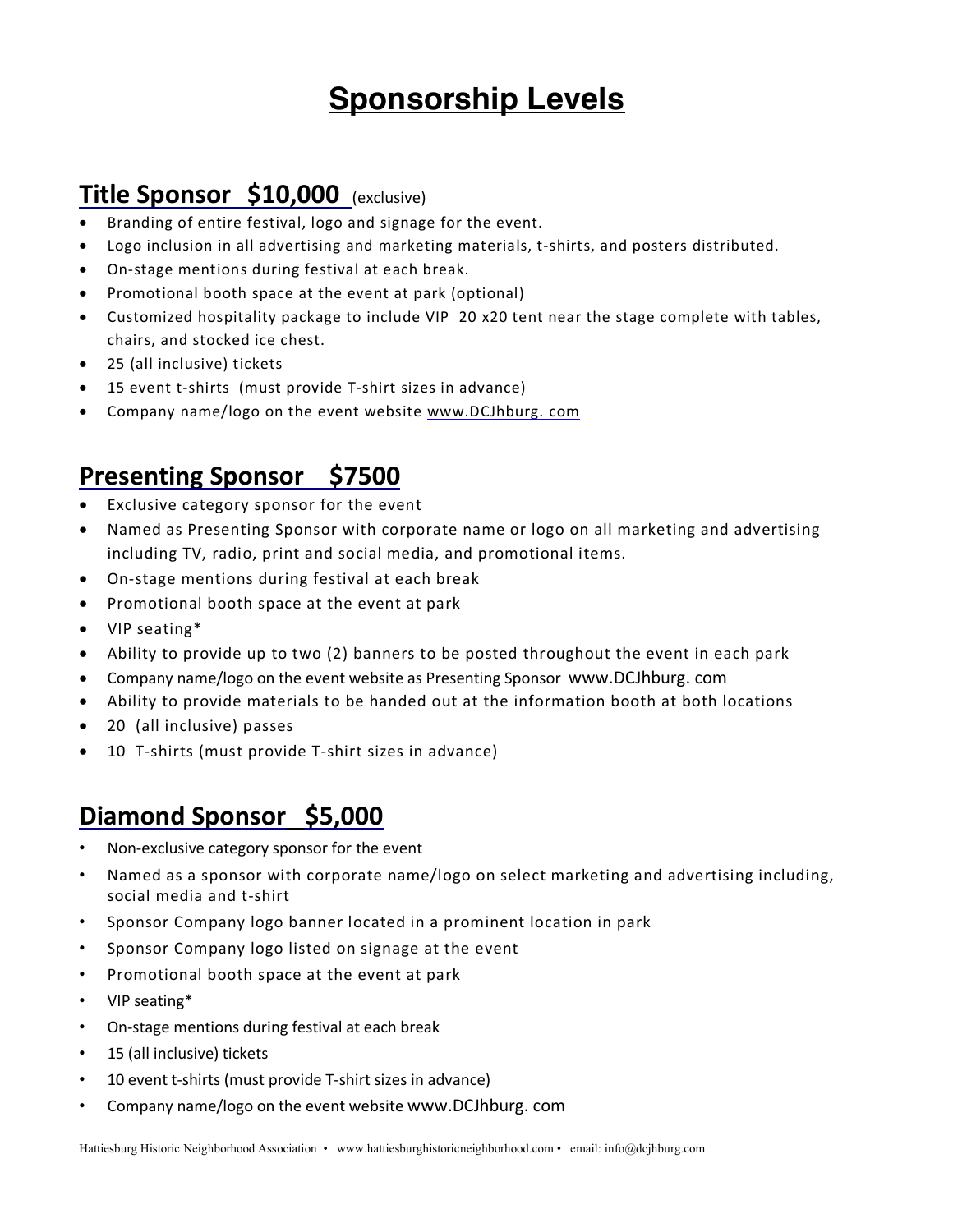# **Sponsorship Levels**

#### **Title Sponsor \$10,000** (exclusive)

- Branding of entire festival, logo and signage for the event.
- Logo inclusion in all advertising and marketing materials, t-shirts, and posters distributed.
- On-stage mentions during festival at each break.
- Promotional booth space at the event at park (optional)
- Customized hospitality package to include VIP 20 x20 tent near the stage complete with tables, chairs, and stocked ice chest.
- 25 (all inclusive) tickets
- 15 event t-shirts (must provide T-shirt sizes in advance)
- Company name/logo on the event website www.DCJhburg. com

#### **Presenting Sponsor \$7500**

- Exclusive category sponsor for the event
- Named as Presenting Sponsor with corporate name or logo on all marketing and advertising including TV, radio, print and social media, and promotional items.
- On-stage mentions during festival at each break
- Promotional booth space at the event at park
- VIP seating\*
- Ability to provide up to two (2) banners to be posted throughout the event in each park
- Company name/logo on the event website as Presenting Sponsor www.DCJhburg. com
- Ability to provide materials to be handed out at the information booth at both locations
- 20 (all inclusive) passes
- 10 T-shirts (must provide T-shirt sizes in advance)

#### **Diamond Sponsor \$5,000**

- Non-exclusive category sponsor for the event
- Named as a sponsor with corporate name/logo on select marketing and advertising including, social media and t-shirt
- Sponsor Company logo banner located in a prominent location in park
- Sponsor Company logo listed on signage at the event
- Promotional booth space at the event at park
- VIP seating\*
- On-stage mentions during festival at each break
- 15 (all inclusive) tickets
- 10 event t-shirts (must provide T-shirt sizes in advance)
- Company name/logo on the event website www.DCJhburg. com